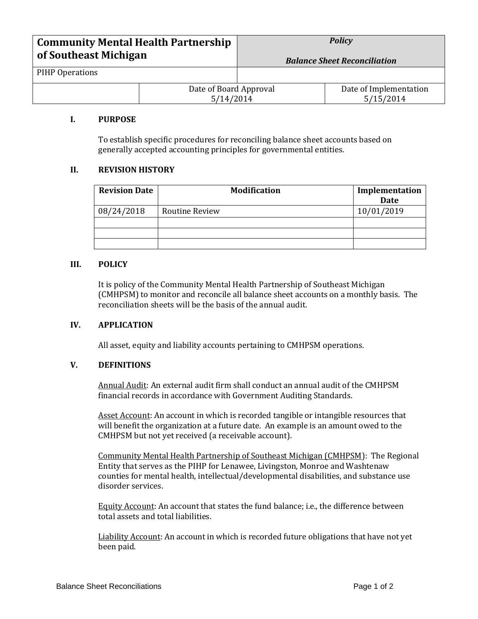| <b>Community Mental Health Partnership</b> |                                     | <b>Policy</b> |                                     |
|--------------------------------------------|-------------------------------------|---------------|-------------------------------------|
| of Southeast Michigan                      | <b>Balance Sheet Reconciliation</b> |               |                                     |
| PIHP Operations                            |                                     |               |                                     |
|                                            | Date of Board Approval<br>5/14/2014 |               | Date of Implementation<br>5/15/2014 |

#### **I. PURPOSE**

To establish specific procedures for reconciling balance sheet accounts based on generally accepted accounting principles for governmental entities.

### **II. REVISION HISTORY**

| <b>Revision Date</b> | <b>Modification</b> | Implementation |
|----------------------|---------------------|----------------|
|                      |                     | <b>Date</b>    |
| 08/24/2018           | Routine Review      | 10/01/2019     |
|                      |                     |                |
|                      |                     |                |
|                      |                     |                |

#### **III. POLICY**

It is policy of the Community Mental Health Partnership of Southeast Michigan (CMHPSM) to monitor and reconcile all balance sheet accounts on a monthly basis. The reconciliation sheets will be the basis of the annual audit.

#### **IV. APPLICATION**

All asset, equity and liability accounts pertaining to CMHPSM operations.

#### **V. DEFINITIONS**

Annual Audit: An external audit firm shall conduct an annual audit of the CMHPSM financial records in accordance with Government Auditing Standards.

Asset Account: An account in which is recorded tangible or intangible resources that will benefit the organization at a future date. An example is an amount owed to the CMHPSM but not yet received (a receivable account).

Community Mental Health Partnership of Southeast Michigan (CMHPSM): The Regional Entity that serves as the PIHP for Lenawee, Livingston, Monroe and Washtenaw counties for mental health, intellectual/developmental disabilities, and substance use disorder services.

Equity Account: An account that states the fund balance; i.e., the difference between total assets and total liabilities.

Liability Account: An account in which is recorded future obligations that have not yet been paid.